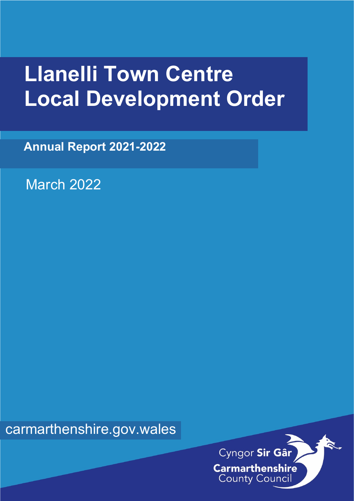# **Llanelli Town Centre Local Development Order**

**Annual Report 2021-2022**

March 2022

carmarthenshire.gov.wales

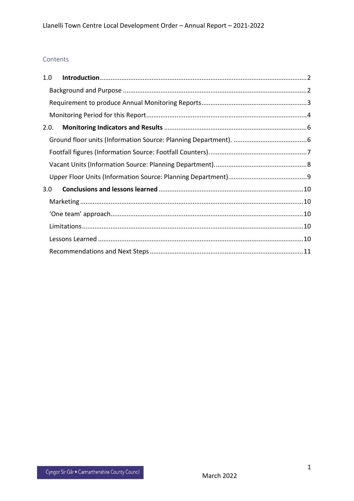# Contents

| 1.0  |  |
|------|--|
|      |  |
|      |  |
|      |  |
| 2.0. |  |
|      |  |
|      |  |
|      |  |
|      |  |
| 3.0  |  |
|      |  |
|      |  |
|      |  |
|      |  |
|      |  |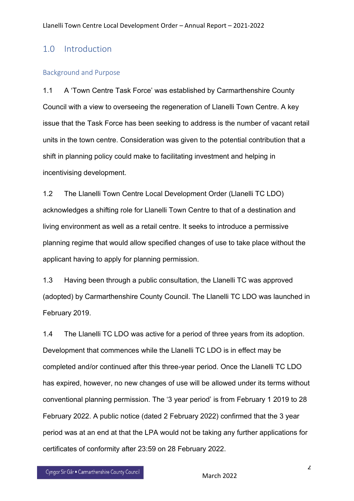# <span id="page-2-0"></span>1.0 Introduction

# <span id="page-2-1"></span>Background and Purpose

1.1 A 'Town Centre Task Force' was established by Carmarthenshire County Council with a view to overseeing the regeneration of Llanelli Town Centre. A key issue that the Task Force has been seeking to address is the number of vacant retail units in the town centre. Consideration was given to the potential contribution that a shift in planning policy could make to facilitating investment and helping in incentivising development.

1.2 The Llanelli Town Centre Local Development Order (Llanelli TC LDO) acknowledges a shifting role for Llanelli Town Centre to that of a destination and living environment as well as a retail centre. It seeks to introduce a permissive planning regime that would allow specified changes of use to take place without the applicant having to apply for planning permission.

1.3 Having been through a public consultation, the Llanelli TC was approved (adopted) by Carmarthenshire County Council. The Llanelli TC LDO was launched in February 2019.

1.4 The Llanelli TC LDO was active for a period of three years from its adoption. Development that commences while the Llanelli TC LDO is in effect may be completed and/or continued after this three-year period. Once the Llanelli TC LDO has expired, however, no new changes of use will be allowed under its terms without conventional planning permission. The '3 year period' is from February 1 2019 to 28 February 2022. A public notice (dated 2 February 2022) confirmed that the 3 year period was at an end at that the LPA would not be taking any further applications for certificates of conformity after 23:59 on 28 February 2022.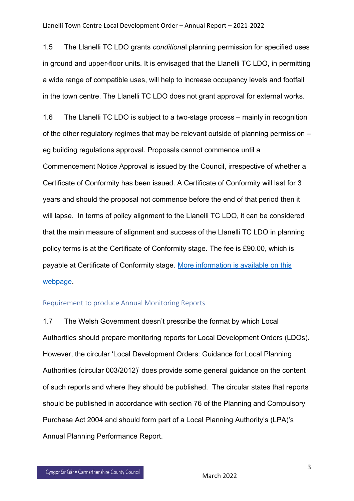1.5 The Llanelli TC LDO grants *conditiona*l planning permission for specified uses in ground and upper-floor units. It is envisaged that the Llanelli TC LDO, in permitting a wide range of compatible uses, will help to increase occupancy levels and footfall in the town centre. The Llanelli TC LDO does not grant approval for external works.

1.6 The Llanelli TC LDO is subject to a two-stage process – mainly in recognition of the other regulatory regimes that may be relevant outside of planning permission – eg building regulations approval. Proposals cannot commence until a Commencement Notice Approval is issued by the Council, irrespective of whether a Certificate of Conformity has been issued. A Certificate of Conformity will last for 3 years and should the proposal not commence before the end of that period then it will lapse. In terms of policy alignment to the Llanelli TC LDO, it can be considered that the main measure of alignment and success of the Llanelli TC LDO in planning policy terms is at the Certificate of Conformity stage. The fee is £90.00, which is payable at Certificate of Conformity stage. [More information is available on this](https://www.carmarthenshire.gov.wales/home/council-services/planning/llanelli-town-centre-local-development-order-ldo/#.X9MxtqZLHIU)  [webpage.](https://www.carmarthenshire.gov.wales/home/council-services/planning/llanelli-town-centre-local-development-order-ldo/#.X9MxtqZLHIU)

#### <span id="page-3-0"></span>Requirement to produce Annual Monitoring Reports

1.7 The Welsh Government doesn't prescribe the format by which Local Authorities should prepare monitoring reports for Local Development Orders (LDOs). However, the circular 'Local Development Orders: Guidance for Local Planning Authorities (circular 003/2012)' does provide some general guidance on the content of such reports and where they should be published. The circular states that reports should be published in accordance with section 76 of the Planning and Compulsory Purchase Act 2004 and should form part of a Local Planning Authority's (LPA)'s Annual Planning Performance Report.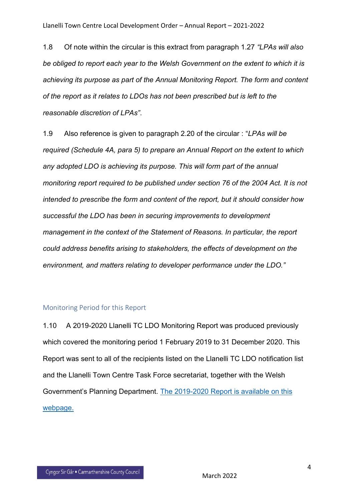1.8 Of note within the circular is this extract from paragraph 1.27 *"LPAs will also be obliged to report each year to the Welsh Government on the extent to which it is achieving its purpose as part of the Annual Monitoring Report. The form and content of the report as it relates to LDOs has not been prescribed but is left to the reasonable discretion of LPAs"*.

1.9 Also reference is given to paragraph 2.20 of the circular : "*LPAs will be required (Schedule 4A, para 5) to prepare an Annual Report on the extent to which any adopted LDO is achieving its purpose. This will form part of the annual monitoring report required to be published under section 76 of the 2004 Act. It is not intended to prescribe the form and content of the report, but it should consider how successful the LDO has been in securing improvements to development management in the context of the Statement of Reasons. In particular, the report could address benefits arising to stakeholders, the effects of development on the environment, and matters relating to developer performance under the LDO."*

#### <span id="page-4-0"></span>Monitoring Period for this Report

1.10 A 2019-2020 Llanelli TC LDO Monitoring Report was produced previously which covered the monitoring period 1 February 2019 to 31 December 2020. This Report was sent to all of the recipients listed on the Llanelli TC LDO notification list and the Llanelli Town Centre Task Force secretariat, together with the Welsh Government's Planning Department. The 2019-2020 [Report is available on this](https://www.carmarthenshire.gov.wales/home/council-services/planning/local-development-order-ldo/#.X9MxtqZLHIU) [webpage.](https://www.carmarthenshire.gov.wales/home/council-services/planning/local-development-order-ldo/#.X9MxtqZLHIU)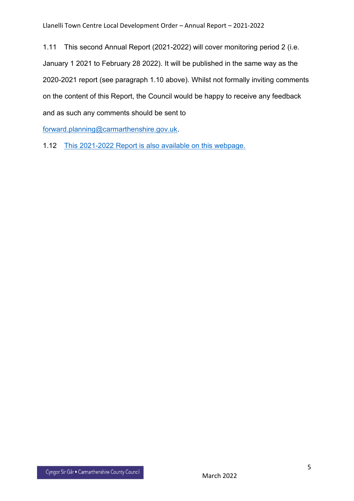1.11 This second Annual Report (2021-2022) will cover monitoring period 2 (i.e. January 1 2021 to February 28 2022). It will be published in the same way as the 2020-2021 report (see paragraph 1.10 above). Whilst not formally inviting comments on the content of this Report, the Council would be happy to receive any feedback and as such any comments should be sent to

[forward.planning@carmarthenshire.gov.uk.](mailto:forward.planning@carmarthenshire.gov.uk)

1.12 This [2021-2022 Report is also available on this webpage.](https://www.carmarthenshire.gov.wales/home/council-services/planning/local-development-order-ldo/#.X9MxtqZLHIU)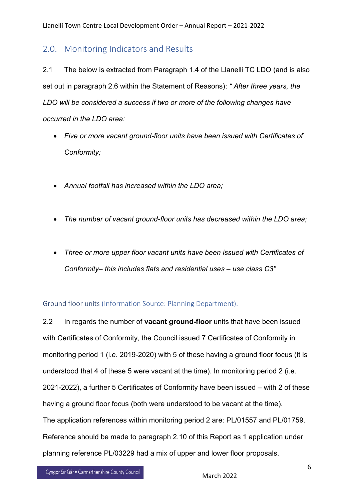# <span id="page-6-0"></span>2.0. Monitoring Indicators and Results

2.1 The below is extracted from Paragraph 1.4 of the Llanelli TC LDO (and is also set out in paragraph 2.6 within the Statement of Reasons): *" After three years, the LDO will be considered a success if two or more of the following changes have occurred in the LDO area:*

- *Five or more vacant ground-floor units have been issued with Certificates of Conformity;*
- *Annual footfall has increased within the LDO area;*
- *The number of vacant ground-floor units has decreased within the LDO area;*
- *Three or more upper floor vacant units have been issued with Certificates of Conformity– this includes flats and residential uses – use class C3"*

# <span id="page-6-1"></span>Ground floor units (Information Source: Planning Department).

2.2 In regards the number of **vacant ground-floor** units that have been issued with Certificates of Conformity, the Council issued 7 Certificates of Conformity in monitoring period 1 (i.e. 2019-2020) with 5 of these having a ground floor focus (it is understood that 4 of these 5 were vacant at the time). In monitoring period 2 (i.e. 2021-2022), a further 5 Certificates of Conformity have been issued – with 2 of these having a ground floor focus (both were understood to be vacant at the time). The application references within monitoring period 2 are: PL/01557 and PL/01759. Reference should be made to paragraph 2.10 of this Report as 1 application under planning reference PL/03229 had a mix of upper and lower floor proposals.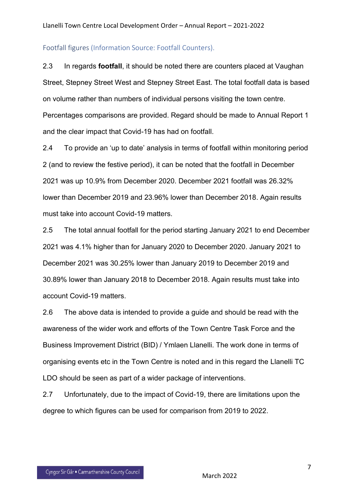#### <span id="page-7-0"></span>Footfall figures (Information Source: Footfall Counters).

2.3 In regards **footfall**, it should be noted there are counters placed at Vaughan Street, Stepney Street West and Stepney Street East. The total footfall data is based on volume rather than numbers of individual persons visiting the town centre. Percentages comparisons are provided. Regard should be made to Annual Report 1 and the clear impact that Covid-19 has had on footfall.

2.4 To provide an 'up to date' analysis in terms of footfall within monitoring period 2 (and to review the festive period), it can be noted that the footfall in December 2021 was up 10.9% from December 2020. December 2021 footfall was 26.32% lower than December 2019 and 23.96% lower than December 2018. Again results must take into account Covid-19 matters.

2.5 The total annual footfall for the period starting January 2021 to end December 2021 was 4.1% higher than for January 2020 to December 2020. January 2021 to December 2021 was 30.25% lower than January 2019 to December 2019 and 30.89% lower than January 2018 to December 2018. Again results must take into account Covid-19 matters.

2.6 The above data is intended to provide a guide and should be read with the awareness of the wider work and efforts of the Town Centre Task Force and the Business Improvement District (BID) / Ymlaen Llanelli. The work done in terms of organising events etc in the Town Centre is noted and in this regard the Llanelli TC LDO should be seen as part of a wider package of interventions.

2.7 Unfortunately, due to the impact of Covid-19, there are limitations upon the degree to which figures can be used for comparison from 2019 to 2022.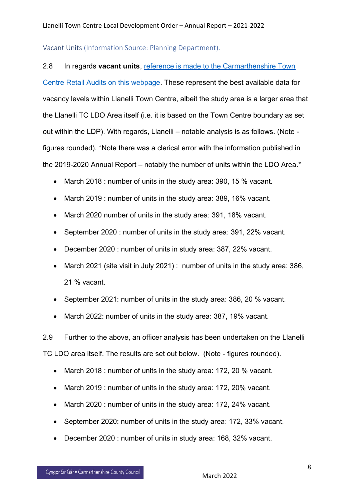<span id="page-8-0"></span>Vacant Units (Information Source: Planning Department).

#### 2.8 In regards **vacant units**, [reference is made to the Carmarthenshire Town](https://www.carmarthenshire.gov.wales/home/council-services/planning/planning-policy/annual-monitoring-report-amr/#.X9OHLqZLHIU)

[Centre Retail Audits on this webpage.](https://www.carmarthenshire.gov.wales/home/council-services/planning/planning-policy/annual-monitoring-report-amr/#.X9OHLqZLHIU) These represent the best available data for vacancy levels within Llanelli Town Centre, albeit the study area is a larger area that the Llanelli TC LDO Area itself (i.e. it is based on the Town Centre boundary as set out within the LDP). With regards, Llanelli – notable analysis is as follows. (Note figures rounded). \*Note there was a clerical error with the information published in the 2019-2020 Annual Report – notably the number of units within the LDO Area.\*

- March 2018 : number of units in the study area: 390, 15 % vacant.
- March 2019 : number of units in the study area: 389, 16% vacant.
- March 2020 number of units in the study area: 391, 18% vacant.
- September 2020 : number of units in the study area: 391, 22% vacant.
- December 2020 : number of units in study area: 387, 22% vacant.
- March 2021 (site visit in July 2021) : number of units in the study area: 386, 21 % vacant.
- September 2021: number of units in the study area: 386, 20 % vacant.
- March 2022: number of units in the study area: 387, 19% vacant.

2.9 Further to the above, an officer analysis has been undertaken on the Llanelli TC LDO area itself. The results are set out below. (Note - figures rounded).

- March 2018 : number of units in the study area: 172, 20 % vacant.
- March 2019 : number of units in the study area: 172, 20% vacant.
- March 2020 : number of units in the study area: 172, 24% vacant.
- September 2020: number of units in the study area: 172, 33% vacant.
- December 2020 : number of units in study area: 168, 32% vacant.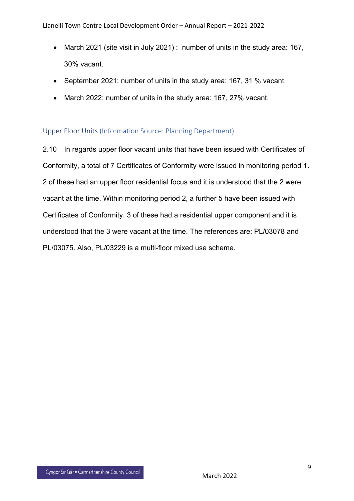- March 2021 (site visit in July 2021) : number of units in the study area: 167, 30% vacant.
- September 2021: number of units in the study area: 167, 31 % vacant.
- March 2022: number of units in the study area: 167, 27% vacant.

# <span id="page-9-0"></span>Upper Floor Units (Information Source: Planning Department).

2.10 In regards upper floor vacant units that have been issued with Certificates of Conformity, a total of 7 Certificates of Conformity were issued in monitoring period 1. 2 of these had an upper floor residential focus and it is understood that the 2 were vacant at the time. Within monitoring period 2, a further 5 have been issued with Certificates of Conformity. 3 of these had a residential upper component and it is understood that the 3 were vacant at the time. The references are: PL/03078 and PL/03075. Also, PL/03229 is a multi-floor mixed use scheme.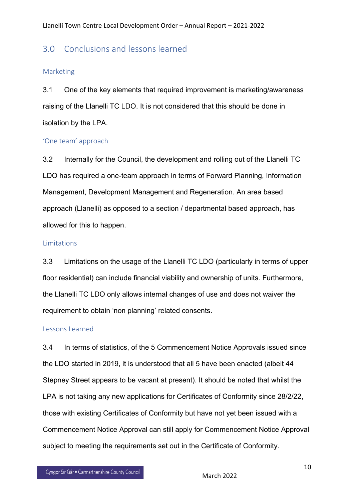# <span id="page-10-0"></span>3.0 Conclusions and lessons learned

# <span id="page-10-1"></span>**Marketing**

3.1 One of the key elements that required improvement is marketing/awareness raising of the Llanelli TC LDO. It is not considered that this should be done in isolation by the LPA.

### <span id="page-10-2"></span>'One team' approach

3.2 Internally for the Council, the development and rolling out of the Llanelli TC LDO has required a one-team approach in terms of Forward Planning, Information Management, Development Management and Regeneration. An area based approach (Llanelli) as opposed to a section / departmental based approach, has allowed for this to happen.

#### <span id="page-10-3"></span>Limitations

3.3 Limitations on the usage of the Llanelli TC LDO (particularly in terms of upper floor residential) can include financial viability and ownership of units. Furthermore, the Llanelli TC LDO only allows internal changes of use and does not waiver the requirement to obtain 'non planning' related consents.

#### <span id="page-10-4"></span>Lessons Learned

3.4 In terms of statistics, of the 5 Commencement Notice Approvals issued since the LDO started in 2019, it is understood that all 5 have been enacted (albeit 44 Stepney Street appears to be vacant at present). It should be noted that whilst the LPA is not taking any new applications for Certificates of Conformity since 28/2/22, those with existing Certificates of Conformity but have not yet been issued with a Commencement Notice Approval can still apply for Commencement Notice Approval subject to meeting the requirements set out in the Certificate of Conformity.